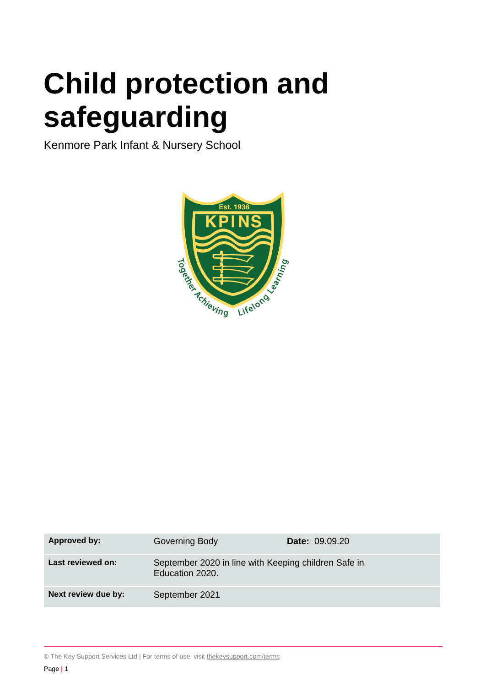# **Child protection and safeguarding**

Kenmore Park Infant & Nursery School



| Approved by:        | Governing Body                                                          | <b>Date: 09.09.20</b> |
|---------------------|-------------------------------------------------------------------------|-----------------------|
| Last reviewed on:   | September 2020 in line with Keeping children Safe in<br>Education 2020. |                       |
| Next review due by: | September 2021                                                          |                       |

© The Key Support Services Ltd | For terms of use, visit [thekeysupport.com/terms](https://thekeysupport.com/terms-of-use)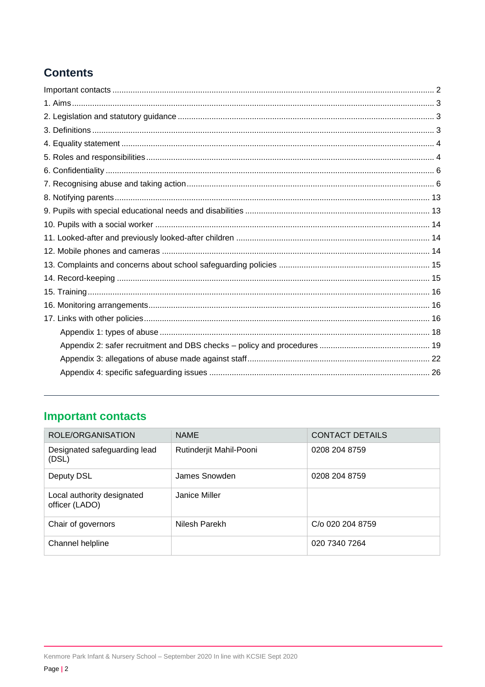# **Contents**

# <span id="page-1-0"></span>**Important contacts**

| ROLE/ORGANISATION                            | <b>NAME</b>             | <b>CONTACT DETAILS</b> |
|----------------------------------------------|-------------------------|------------------------|
| Designated safeguarding lead<br>(DSL)        | Rutinderjit Mahil-Pooni | 0208 204 8759          |
| Deputy DSL                                   | James Snowden           | 0208 204 8759          |
| Local authority designated<br>officer (LADO) | Janice Miller           |                        |
| Chair of governors                           | Nilesh Parekh           | C/o 020 204 8759       |
| Channel helpline                             |                         | 020 7340 7264          |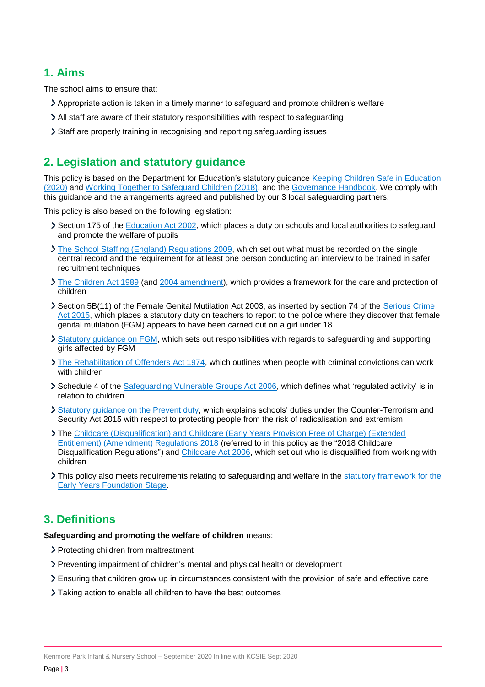# <span id="page-2-0"></span>**1. Aims**

The school aims to ensure that:

- Appropriate action is taken in a timely manner to safeguard and promote children's welfare
- All staff are aware of their statutory responsibilities with respect to safeguarding
- Staff are properly training in recognising and reporting safeguarding issues

# <span id="page-2-1"></span>**2. Legislation and statutory guidance**

This policy is based on the Department for Education's statutory guidance [Keeping Children Safe in Education](https://www.gov.uk/government/publications/keeping-children-safe-in-education--2)  [\(2020\)](https://www.gov.uk/government/publications/keeping-children-safe-in-education--2) and [Working Together to Safeguard Children \(2018\),](https://www.gov.uk/government/publications/working-together-to-safeguard-children--2) and the [Governance Handbook.](https://www.gov.uk/government/publications/governance-handbook) We comply with this guidance and the arrangements agreed and published by our 3 local safeguarding partners.

This policy is also based on the following legislation:

- Section 175 of the [Education Act 2002,](http://www.legislation.gov.uk/ukpga/2002/32/section/175) which places a duty on schools and local authorities to safeguard and promote the welfare of pupils
- [The School Staffing \(England\) Regulations 2009,](http://www.legislation.gov.uk/uksi/2009/2680/contents/made) which set out what must be recorded on the single central record and the requirement for at least one person conducting an interview to be trained in safer recruitment techniques
- [The Children Act 1989](http://www.legislation.gov.uk/ukpga/1989/41) (and [2004 amendment\)](http://www.legislation.gov.uk/ukpga/2004/31/contents), which provides a framework for the care and protection of children
- Section 5B(11) of the Female Genital Mutilation Act 2003, as inserted by section 74 of the Serious Crime [Act 2015,](http://www.legislation.gov.uk/ukpga/2015/9/part/5/crossheading/female-genital-mutilation) which places a statutory duty on teachers to report to the police where they discover that female genital mutilation (FGM) appears to have been carried out on a girl under 18
- [Statutory guidance on FGM,](https://www.gov.uk/government/publications/multi-agency-statutory-guidance-on-female-genital-mutilation) which sets out responsibilities with regards to safeguarding and supporting girls affected by FGM
- [The Rehabilitation of Offenders Act 1974,](http://www.legislation.gov.uk/ukpga/1974/53) which outlines when people with criminal convictions can work with children
- Schedule 4 of the [Safeguarding Vulnerable Groups Act 2006,](http://www.legislation.gov.uk/ukpga/2006/47/schedule/4) which defines what 'regulated activity' is in relation to children
- [Statutory guidance on the Prevent duty,](https://www.gov.uk/government/publications/prevent-duty-guidance) which explains schools' duties under the Counter-Terrorism and Security Act 2015 with respect to protecting people from the risk of radicalisation and extremism
- The [Childcare \(Disqualification\) and Childcare \(Early Years Provision Free of Charge\) \(Extended](http://www.legislation.gov.uk/uksi/2018/794/contents/made)  [Entitlement\) \(Amendment\) Regulations 2018](http://www.legislation.gov.uk/uksi/2018/794/contents/made) (referred to in this policy as the "2018 Childcare Disqualification Regulations") and [Childcare Act 2006,](http://www.legislation.gov.uk/ukpga/2006/21/contents) which set out who is disqualified from working with children
- This policy also meets requirements relating to safeguarding and welfare in the [statutory framework for the](https://www.gov.uk/government/publications/early-years-foundation-stage-framework--2)  [Early Years Foundation Stage.](https://www.gov.uk/government/publications/early-years-foundation-stage-framework--2)

# <span id="page-2-2"></span>**3. Definitions**

#### **Safeguarding and promoting the welfare of children** means:

- > Protecting children from maltreatment
- Preventing impairment of children's mental and physical health or development
- Ensuring that children grow up in circumstances consistent with the provision of safe and effective care
- Taking action to enable all children to have the best outcomes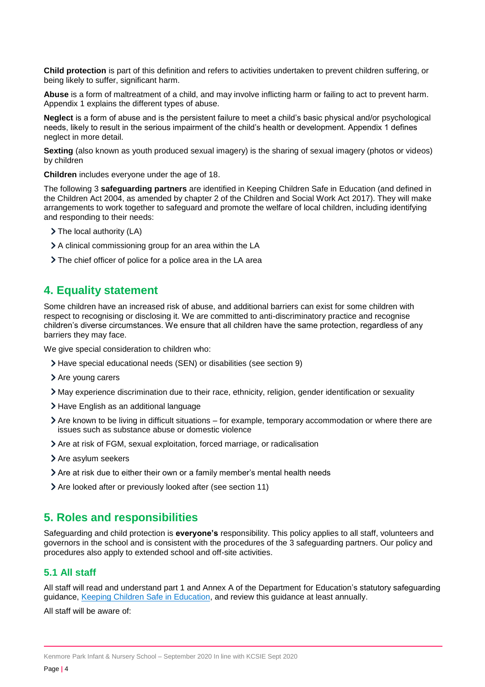**Child protection** is part of this definition and refers to activities undertaken to prevent children suffering, or being likely to suffer, significant harm.

**Abuse** is a form of maltreatment of a child, and may involve inflicting harm or failing to act to prevent harm. Appendix 1 explains the different types of abuse.

**Neglect** is a form of abuse and is the persistent failure to meet a child's basic physical and/or psychological needs, likely to result in the serious impairment of the child's health or development. Appendix 1 defines neglect in more detail.

**Sexting** (also known as youth produced sexual imagery) is the sharing of sexual imagery (photos or videos) by children

**Children** includes everyone under the age of 18.

The following 3 **safeguarding partners** are identified in Keeping Children Safe in Education (and defined in the Children Act 2004, as amended by chapter 2 of the Children and Social Work Act 2017). They will make arrangements to work together to safeguard and promote the welfare of local children, including identifying and responding to their needs:

- > The local authority (LA)
- A clinical commissioning group for an area within the LA
- > The chief officer of police for a police area in the LA area

# <span id="page-3-0"></span>**4. Equality statement**

Some children have an increased risk of abuse, and additional barriers can exist for some children with respect to recognising or disclosing it. We are committed to anti-discriminatory practice and recognise children's diverse circumstances. We ensure that all children have the same protection, regardless of any barriers they may face.

We give special consideration to children who:

- Have special educational needs (SEN) or disabilities (see section 9)
- > Are young carers
- May experience discrimination due to their race, ethnicity, religion, gender identification or sexuality
- > Have English as an additional language
- $\geq$  Are known to be living in difficult situations for example, temporary accommodation or where there are issues such as substance abuse or domestic violence
- Are at risk of FGM, sexual exploitation, forced marriage, or radicalisation
- > Are asylum seekers
- Are at risk due to either their own or a family member's mental health needs
- Are looked after or previously looked after (see section 11)

# <span id="page-3-1"></span>**5. Roles and responsibilities**

Safeguarding and child protection is **everyone's** responsibility. This policy applies to all staff, volunteers and governors in the school and is consistent with the procedures of the 3 safeguarding partners. Our policy and procedures also apply to extended school and off-site activities.

# **5.1 All staff**

All staff will read and understand part 1 and Annex A of the Department for Education's statutory safeguarding guidance, [Keeping Children Safe in Education,](https://www.gov.uk/government/publications/keeping-children-safe-in-education--2) and review this guidance at least annually.

All staff will be aware of: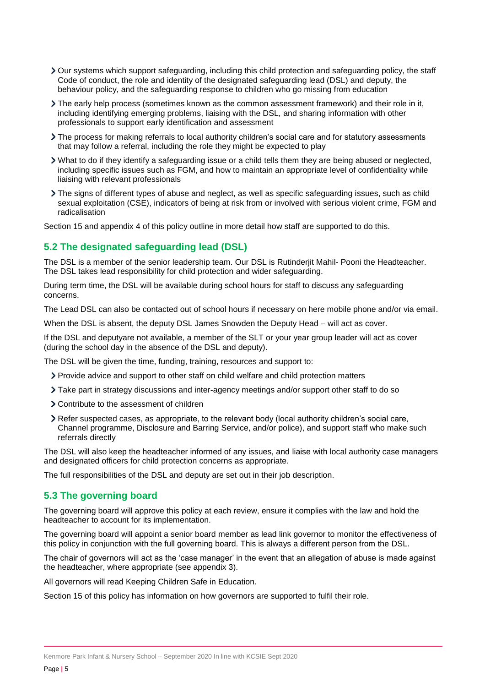- Our systems which support safeguarding, including this child protection and safeguarding policy, the staff Code of conduct, the role and identity of the designated safeguarding lead (DSL) and deputy, the behaviour policy, and the safeguarding response to children who go missing from education
- The early help process (sometimes known as the common assessment framework) and their role in it, including identifying emerging problems, liaising with the DSL, and sharing information with other professionals to support early identification and assessment
- The process for making referrals to local authority children's social care and for statutory assessments that may follow a referral, including the role they might be expected to play
- What to do if they identify a safeguarding issue or a child tells them they are being abused or neglected, including specific issues such as FGM, and how to maintain an appropriate level of confidentiality while liaising with relevant professionals
- The signs of different types of abuse and neglect, as well as specific safeguarding issues, such as child sexual exploitation (CSE), indicators of being at risk from or involved with serious violent crime, FGM and radicalisation

Section 15 and appendix 4 of this policy outline in more detail how staff are supported to do this.

# **5.2 The designated safeguarding lead (DSL)**

The DSL is a member of the senior leadership team. Our DSL is Rutinderjit Mahil- Pooni the Headteacher. The DSL takes lead responsibility for child protection and wider safeguarding.

During term time, the DSL will be available during school hours for staff to discuss any safeguarding concerns.

The Lead DSL can also be contacted out of school hours if necessary on here mobile phone and/or via email.

When the DSL is absent, the deputy DSL James Snowden the Deputy Head – will act as cover.

If the DSL and deputyare not available, a member of the SLT or your year group leader will act as cover (during the school day in the absence of the DSL and deputy).

The DSL will be given the time, funding, training, resources and support to:

- Provide advice and support to other staff on child welfare and child protection matters
- Take part in strategy discussions and inter-agency meetings and/or support other staff to do so
- Contribute to the assessment of children
- Refer suspected cases, as appropriate, to the relevant body (local authority children's social care, Channel programme, Disclosure and Barring Service, and/or police), and support staff who make such referrals directly

The DSL will also keep the headteacher informed of any issues, and liaise with local authority case managers and designated officers for child protection concerns as appropriate.

The full responsibilities of the DSL and deputy are set out in their job description.

## **5.3 The governing board**

The governing board will approve this policy at each review, ensure it complies with the law and hold the headteacher to account for its implementation.

The governing board will appoint a senior board member as lead link governor to monitor the effectiveness of this policy in conjunction with the full governing board. This is always a different person from the DSL.

The chair of governors will act as the 'case manager' in the event that an allegation of abuse is made against the headteacher, where appropriate (see appendix 3).

All governors will read Keeping Children Safe in Education.

Section 15 of this policy has information on how governors are supported to fulfil their role.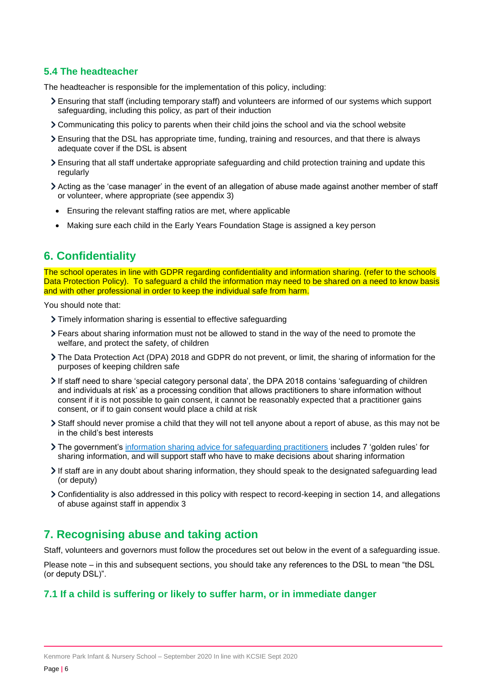# **5.4 The headteacher**

The headteacher is responsible for the implementation of this policy, including:

- Ensuring that staff (including temporary staff) and volunteers are informed of our systems which support safeguarding, including this policy, as part of their induction
- Communicating this policy to parents when their child joins the school and via the school website
- Ensuring that the DSL has appropriate time, funding, training and resources, and that there is always adequate cover if the DSL is absent
- Ensuring that all staff undertake appropriate safeguarding and child protection training and update this regularly
- Acting as the 'case manager' in the event of an allegation of abuse made against another member of staff or volunteer, where appropriate (see appendix 3)
- Ensuring the relevant staffing ratios are met, where applicable
- Making sure each child in the Early Years Foundation Stage is assigned a key person

# <span id="page-5-0"></span>**6. Confidentiality**

The school operates in line with GDPR regarding confidentiality and information sharing. (refer to the schools Data Protection Policy). To safeguard a child the information may need to be shared on a need to know basis and with other professional in order to keep the individual safe from harm.

You should note that:

- Timely information sharing is essential to effective safeguarding
- Fears about sharing information must not be allowed to stand in the way of the need to promote the welfare, and protect the safety, of children
- The Data Protection Act (DPA) 2018 and GDPR do not prevent, or limit, the sharing of information for the purposes of keeping children safe
- If staff need to share 'special category personal data', the DPA 2018 contains 'safeguarding of children and individuals at risk' as a processing condition that allows practitioners to share information without consent if it is not possible to gain consent, it cannot be reasonably expected that a practitioner gains consent, or if to gain consent would place a child at risk
- Staff should never promise a child that they will not tell anyone about a report of abuse, as this may not be in the child's best interests
- The government's [information sharing advice for safeguarding practitioners](https://www.gov.uk/government/publications/safeguarding-practitioners-information-sharing-advice) includes 7 'golden rules' for sharing information, and will support staff who have to make decisions about sharing information
- If staff are in any doubt about sharing information, they should speak to the designated safeguarding lead (or deputy)
- Confidentiality is also addressed in this policy with respect to record-keeping in section 14, and allegations of abuse against staff in appendix 3

# <span id="page-5-1"></span>**7. Recognising abuse and taking action**

Staff, volunteers and governors must follow the procedures set out below in the event of a safeguarding issue.

Please note – in this and subsequent sections, you should take any references to the DSL to mean "the DSL (or deputy DSL)".

# **7.1 If a child is suffering or likely to suffer harm, or in immediate danger**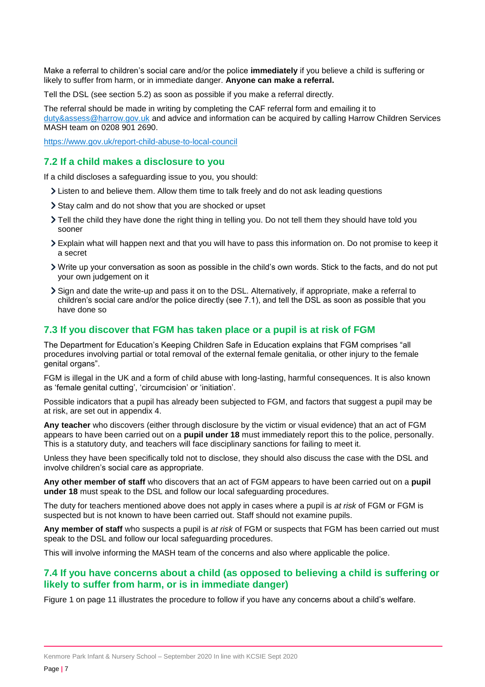Make a referral to children's social care and/or the police **immediately** if you believe a child is suffering or likely to suffer from harm, or in immediate danger. **Anyone can make a referral.**

Tell the DSL (see section 5.2) as soon as possible if you make a referral directly.

The referral should be made in writing by completing the CAF referral form and emailing it to [duty&assess@harrow.gov.uk](mailto:duty&assess@harrow.gov.uk) and advice and information can be acquired by calling Harrow Children Services MASH team on 0208 901 2690.

<https://www.gov.uk/report-child-abuse-to-local-council>

## **7.2 If a child makes a disclosure to you**

If a child discloses a safeguarding issue to you, you should:

- Listen to and believe them. Allow them time to talk freely and do not ask leading questions
- Stay calm and do not show that you are shocked or upset
- Tell the child they have done the right thing in telling you. Do not tell them they should have told you sooner
- Explain what will happen next and that you will have to pass this information on. Do not promise to keep it a secret
- Write up your conversation as soon as possible in the child's own words. Stick to the facts, and do not put your own judgement on it
- Sign and date the write-up and pass it on to the DSL. Alternatively, if appropriate, make a referral to children's social care and/or the police directly (see 7.1), and tell the DSL as soon as possible that you have done so

## **7.3 If you discover that FGM has taken place or a pupil is at risk of FGM**

The Department for Education's Keeping Children Safe in Education explains that FGM comprises "all procedures involving partial or total removal of the external female genitalia, or other injury to the female genital organs".

FGM is illegal in the UK and a form of child abuse with long-lasting, harmful consequences. It is also known as 'female genital cutting', 'circumcision' or 'initiation'.

Possible indicators that a pupil has already been subjected to FGM, and factors that suggest a pupil may be at risk, are set out in appendix 4.

**Any teacher** who discovers (either through disclosure by the victim or visual evidence) that an act of FGM appears to have been carried out on a **pupil under 18** must immediately report this to the police, personally. This is a statutory duty, and teachers will face disciplinary sanctions for failing to meet it.

Unless they have been specifically told not to disclose, they should also discuss the case with the DSL and involve children's social care as appropriate.

**Any other member of staff** who discovers that an act of FGM appears to have been carried out on a **pupil under 18** must speak to the DSL and follow our local safeguarding procedures.

The duty for teachers mentioned above does not apply in cases where a pupil is *at risk* of FGM or FGM is suspected but is not known to have been carried out. Staff should not examine pupils.

**Any member of staff** who suspects a pupil is *at risk* of FGM or suspects that FGM has been carried out must speak to the DSL and follow our local safeguarding procedures.

This will involve informing the MASH team of the concerns and also where applicable the police.

# **7.4 If you have concerns about a child (as opposed to believing a child is suffering or likely to suffer from harm, or is in immediate danger)**

Figure 1 on page 11 illustrates the procedure to follow if you have any concerns about a child's welfare.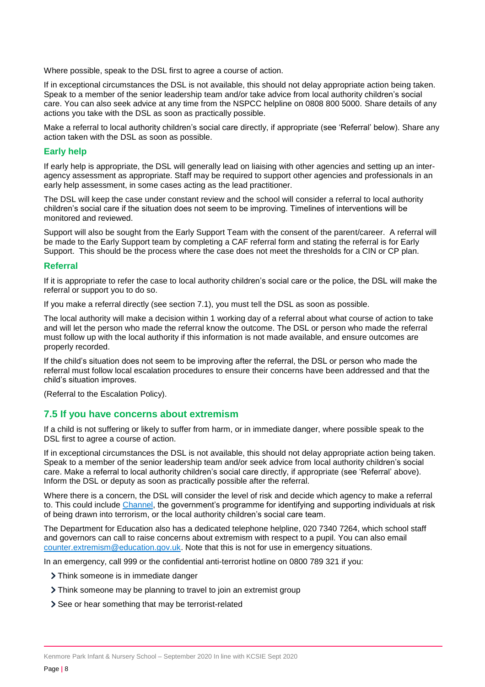Where possible, speak to the DSL first to agree a course of action.

If in exceptional circumstances the DSL is not available, this should not delay appropriate action being taken. Speak to a member of the senior leadership team and/or take advice from local authority children's social care. You can also seek advice at any time from the NSPCC helpline on 0808 800 5000. Share details of any actions you take with the DSL as soon as practically possible.

Make a referral to local authority children's social care directly, if appropriate (see 'Referral' below). Share any action taken with the DSL as soon as possible.

#### **Early help**

If early help is appropriate, the DSL will generally lead on liaising with other agencies and setting up an interagency assessment as appropriate. Staff may be required to support other agencies and professionals in an early help assessment, in some cases acting as the lead practitioner.

The DSL will keep the case under constant review and the school will consider a referral to local authority children's social care if the situation does not seem to be improving. Timelines of interventions will be monitored and reviewed.

Support will also be sought from the Early Support Team with the consent of the parent/career. A referral will be made to the Early Support team by completing a CAF referral form and stating the referral is for Early Support. This should be the process where the case does not meet the thresholds for a CIN or CP plan.

#### **Referral**

If it is appropriate to refer the case to local authority children's social care or the police, the DSL will make the referral or support you to do so.

If you make a referral directly (see section 7.1), you must tell the DSL as soon as possible.

The local authority will make a decision within 1 working day of a referral about what course of action to take and will let the person who made the referral know the outcome. The DSL or person who made the referral must follow up with the local authority if this information is not made available, and ensure outcomes are properly recorded.

If the child's situation does not seem to be improving after the referral, the DSL or person who made the referral must follow local escalation procedures to ensure their concerns have been addressed and that the child's situation improves.

(Referral to the Escalation Policy).

## **7.5 If you have concerns about extremism**

If a child is not suffering or likely to suffer from harm, or in immediate danger, where possible speak to the DSL first to agree a course of action.

If in exceptional circumstances the DSL is not available, this should not delay appropriate action being taken. Speak to a member of the senior leadership team and/or seek advice from local authority children's social care. Make a referral to local authority children's social care directly, if appropriate (see 'Referral' above). Inform the DSL or deputy as soon as practically possible after the referral.

Where there is a concern, the DSL will consider the level of risk and decide which agency to make a referral to. This could include [Channel,](https://www.gov.uk/government/publications/channel-guidance) the government's programme for identifying and supporting individuals at risk of being drawn into terrorism, or the local authority children's social care team.

The Department for Education also has a dedicated telephone helpline, 020 7340 7264, which school staff and governors can call to raise concerns about extremism with respect to a pupil. You can also email [counter.extremism@education.gov.uk.](mailto:counter.extremism@education.gov.uk) Note that this is not for use in emergency situations.

In an emergency, call 999 or the confidential anti-terrorist hotline on 0800 789 321 if you:

- > Think someone is in immediate danger
- Think someone may be planning to travel to join an extremist group
- See or hear something that may be terrorist-related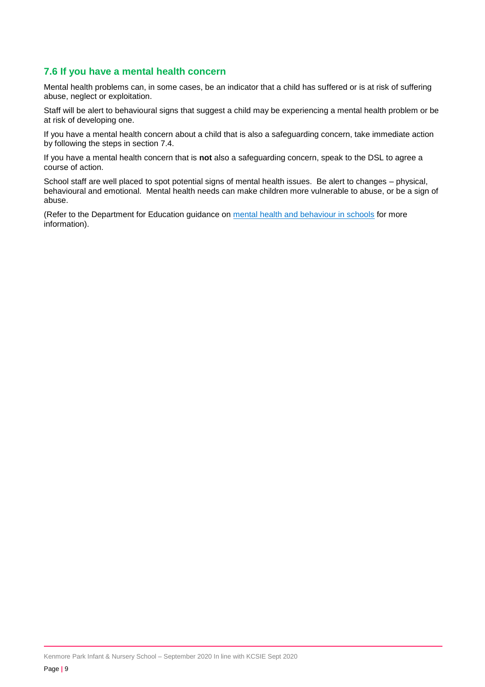# **7.6 If you have a mental health concern**

Mental health problems can, in some cases, be an indicator that a child has suffered or is at risk of suffering abuse, neglect or exploitation.

Staff will be alert to behavioural signs that suggest a child may be experiencing a mental health problem or be at risk of developing one.

If you have a mental health concern about a child that is also a safeguarding concern, take immediate action by following the steps in section 7.4.

If you have a mental health concern that is **not** also a safeguarding concern, speak to the DSL to agree a course of action.

School staff are well placed to spot potential signs of mental health issues. Be alert to changes – physical, behavioural and emotional. Mental health needs can make children more vulnerable to abuse, or be a sign of abuse.

(Refer to the Department for Education guidance on [mental health and behaviour in schools](https://www.gov.uk/government/publications/mental-health-and-behaviour-in-schools--2) for more information).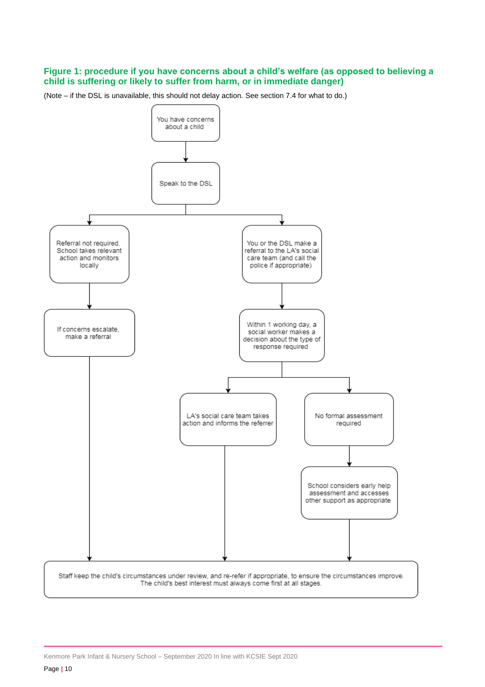## **Figure 1: procedure if you have concerns about a child's welfare (as opposed to believing a child is suffering or likely to suffer from harm, or in immediate danger)**

(Note – if the DSL is unavailable, this should not delay action. See section 7.4 for what to do.)

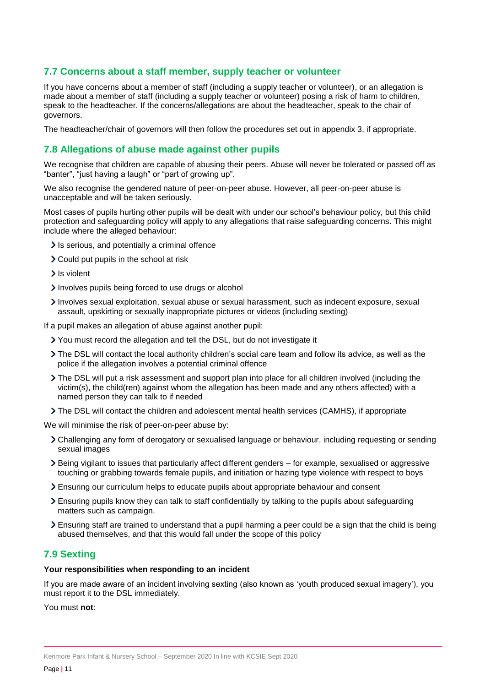# **7.7 Concerns about a staff member, supply teacher or volunteer**

If you have concerns about a member of staff (including a supply teacher or volunteer), or an allegation is made about a member of staff (including a supply teacher or volunteer) posing a risk of harm to children, speak to the headteacher. If the concerns/allegations are about the headteacher, speak to the chair of governors.

The headteacher/chair of governors will then follow the procedures set out in appendix 3, if appropriate.

## **7.8 Allegations of abuse made against other pupils**

We recognise that children are capable of abusing their peers. Abuse will never be tolerated or passed off as "banter", "just having a laugh" or "part of growing up".

We also recognise the gendered nature of peer-on-peer abuse. However, all peer-on-peer abuse is unacceptable and will be taken seriously.

Most cases of pupils hurting other pupils will be dealt with under our school's behaviour policy, but this child protection and safeguarding policy will apply to any allegations that raise safeguarding concerns. This might include where the alleged behaviour:

- If is serious, and potentially a criminal offence
- Could put pupils in the school at risk
- > Is violent
- Involves pupils being forced to use drugs or alcohol
- Involves sexual exploitation, sexual abuse or sexual harassment, such as indecent exposure, sexual assault, upskirting or sexually inappropriate pictures or videos (including sexting)

If a pupil makes an allegation of abuse against another pupil:

- You must record the allegation and tell the DSL, but do not investigate it
- The DSL will contact the local authority children's social care team and follow its advice, as well as the police if the allegation involves a potential criminal offence
- The DSL will put a risk assessment and support plan into place for all children involved (including the victim(s), the child(ren) against whom the allegation has been made and any others affected) with a named person they can talk to if needed
- The DSL will contact the children and adolescent mental health services (CAMHS), if appropriate

We will minimise the risk of peer-on-peer abuse by:

- Challenging any form of derogatory or sexualised language or behaviour, including requesting or sending sexual images
- Being vigilant to issues that particularly affect different genders for example, sexualised or aggressive touching or grabbing towards female pupils, and initiation or hazing type violence with respect to boys
- Ensuring our curriculum helps to educate pupils about appropriate behaviour and consent
- Ensuring pupils know they can talk to staff confidentially by talking to the pupils about safeguarding matters such as campaign.
- Ensuring staff are trained to understand that a pupil harming a peer could be a sign that the child is being abused themselves, and that this would fall under the scope of this policy

# **7.9 Sexting**

#### **Your responsibilities when responding to an incident**

If you are made aware of an incident involving sexting (also known as 'youth produced sexual imagery'), you must report it to the DSL immediately.

You must **not**: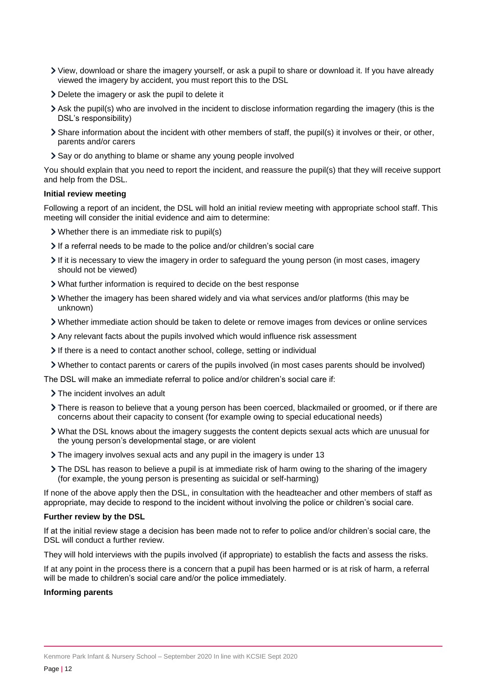- View, download or share the imagery yourself, or ask a pupil to share or download it. If you have already viewed the imagery by accident, you must report this to the DSL
- Delete the imagery or ask the pupil to delete it
- Ask the pupil(s) who are involved in the incident to disclose information regarding the imagery (this is the DSL's responsibility)
- Share information about the incident with other members of staff, the pupil(s) it involves or their, or other, parents and/or carers
- > Say or do anything to blame or shame any young people involved

You should explain that you need to report the incident, and reassure the pupil(s) that they will receive support and help from the DSL.

#### **Initial review meeting**

Following a report of an incident, the DSL will hold an initial review meeting with appropriate school staff. This meeting will consider the initial evidence and aim to determine:

- Whether there is an immediate risk to pupil(s)
- If a referral needs to be made to the police and/or children's social care
- If it is necessary to view the imagery in order to safeguard the young person (in most cases, imagery should not be viewed)
- What further information is required to decide on the best response
- Whether the imagery has been shared widely and via what services and/or platforms (this may be unknown)
- Whether immediate action should be taken to delete or remove images from devices or online services
- Any relevant facts about the pupils involved which would influence risk assessment
- If there is a need to contact another school, college, setting or individual
- Whether to contact parents or carers of the pupils involved (in most cases parents should be involved)

The DSL will make an immediate referral to police and/or children's social care if:

- > The incident involves an adult
- There is reason to believe that a young person has been coerced, blackmailed or groomed, or if there are concerns about their capacity to consent (for example owing to special educational needs)
- What the DSL knows about the imagery suggests the content depicts sexual acts which are unusual for the young person's developmental stage, or are violent
- The imagery involves sexual acts and any pupil in the imagery is under 13
- The DSL has reason to believe a pupil is at immediate risk of harm owing to the sharing of the imagery (for example, the young person is presenting as suicidal or self-harming)

If none of the above apply then the DSL, in consultation with the headteacher and other members of staff as appropriate, may decide to respond to the incident without involving the police or children's social care.

#### **Further review by the DSL**

If at the initial review stage a decision has been made not to refer to police and/or children's social care, the DSL will conduct a further review.

They will hold interviews with the pupils involved (if appropriate) to establish the facts and assess the risks.

If at any point in the process there is a concern that a pupil has been harmed or is at risk of harm, a referral will be made to children's social care and/or the police immediately.

#### **Informing parents**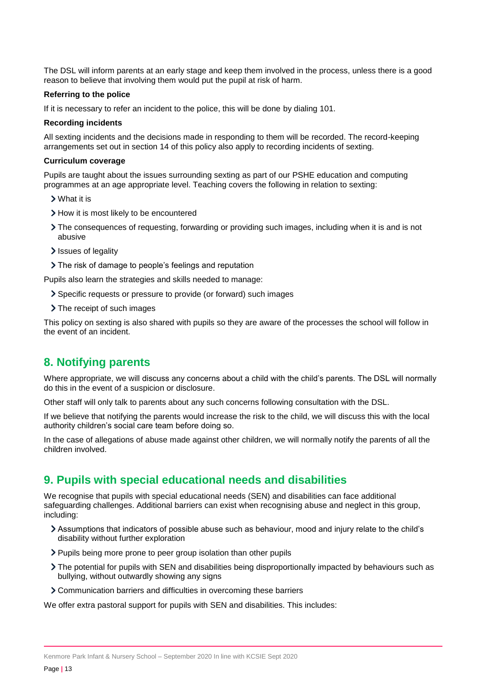The DSL will inform parents at an early stage and keep them involved in the process, unless there is a good reason to believe that involving them would put the pupil at risk of harm.

#### **Referring to the police**

If it is necessary to refer an incident to the police, this will be done by dialing 101.

#### **Recording incidents**

All sexting incidents and the decisions made in responding to them will be recorded. The record-keeping arrangements set out in section 14 of this policy also apply to recording incidents of sexting.

#### **Curriculum coverage**

Pupils are taught about the issues surrounding sexting as part of our PSHE education and computing programmes at an age appropriate level. Teaching covers the following in relation to sexting:

- What it is
- > How it is most likely to be encountered
- The consequences of requesting, forwarding or providing such images, including when it is and is not abusive
- Issues of legality
- The risk of damage to people's feelings and reputation

Pupils also learn the strategies and skills needed to manage:

- Specific requests or pressure to provide (or forward) such images
- > The receipt of such images

This policy on sexting is also shared with pupils so they are aware of the processes the school will follow in the event of an incident.

# <span id="page-12-0"></span>**8. Notifying parents**

Where appropriate, we will discuss any concerns about a child with the child's parents. The DSL will normally do this in the event of a suspicion or disclosure.

Other staff will only talk to parents about any such concerns following consultation with the DSL.

If we believe that notifying the parents would increase the risk to the child, we will discuss this with the local authority children's social care team before doing so.

In the case of allegations of abuse made against other children, we will normally notify the parents of all the children involved.

# <span id="page-12-1"></span>**9. Pupils with special educational needs and disabilities**

We recognise that pupils with special educational needs (SEN) and disabilities can face additional safeguarding challenges. Additional barriers can exist when recognising abuse and neglect in this group, including:

- Assumptions that indicators of possible abuse such as behaviour, mood and injury relate to the child's disability without further exploration
- Pupils being more prone to peer group isolation than other pupils
- The potential for pupils with SEN and disabilities being disproportionally impacted by behaviours such as bullying, without outwardly showing any signs
- Communication barriers and difficulties in overcoming these barriers

We offer extra pastoral support for pupils with SEN and disabilities. This includes: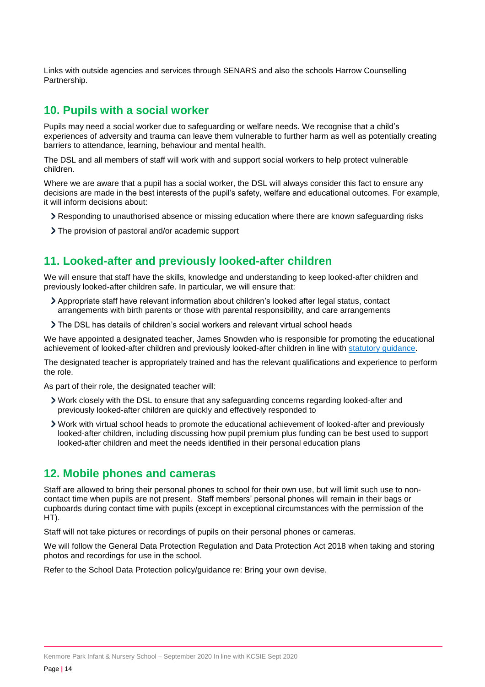Links with outside agencies and services through SENARS and also the schools Harrow Counselling Partnership.

# <span id="page-13-0"></span>**10. Pupils with a social worker**

Pupils may need a social worker due to safeguarding or welfare needs. We recognise that a child's experiences of adversity and trauma can leave them vulnerable to further harm as well as potentially creating barriers to attendance, learning, behaviour and mental health.

The DSL and all members of staff will work with and support social workers to help protect vulnerable children.

Where we are aware that a pupil has a social worker, the DSL will always consider this fact to ensure any decisions are made in the best interests of the pupil's safety, welfare and educational outcomes. For example, it will inform decisions about:

- Responding to unauthorised absence or missing education where there are known safeguarding risks
- The provision of pastoral and/or academic support

# <span id="page-13-1"></span>**11. Looked-after and previously looked-after children**

We will ensure that staff have the skills, knowledge and understanding to keep looked-after children and previously looked-after children safe. In particular, we will ensure that:

- Appropriate staff have relevant information about children's looked after legal status, contact arrangements with birth parents or those with parental responsibility, and care arrangements
- The DSL has details of children's social workers and relevant virtual school heads

We have appointed a designated teacher, James Snowden who is responsible for promoting the educational achievement of looked-after children and previously looked-after children in line with [statutory guidance.](https://www.gov.uk/government/publications/designated-teacher-for-looked-after-children)

The designated teacher is appropriately trained and has the relevant qualifications and experience to perform the role.

As part of their role, the designated teacher will:

- Work closely with the DSL to ensure that any safeguarding concerns regarding looked-after and previously looked-after children are quickly and effectively responded to
- Work with virtual school heads to promote the educational achievement of looked-after and previously looked-after children, including discussing how pupil premium plus funding can be best used to support looked-after children and meet the needs identified in their personal education plans

# <span id="page-13-2"></span>**12. Mobile phones and cameras**

Staff are allowed to bring their personal phones to school for their own use, but will limit such use to noncontact time when pupils are not present. Staff members' personal phones will remain in their bags or cupboards during contact time with pupils (except in exceptional circumstances with the permission of the HT).

Staff will not take pictures or recordings of pupils on their personal phones or cameras.

We will follow the General Data Protection Regulation and Data Protection Act 2018 when taking and storing photos and recordings for use in the school.

Refer to the School Data Protection policy/guidance re: Bring your own devise.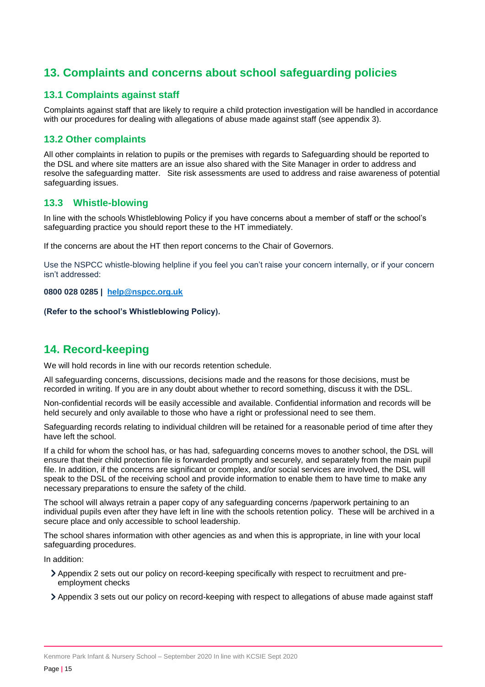# <span id="page-14-0"></span>**13. Complaints and concerns about school safeguarding policies**

# **13.1 Complaints against staff**

Complaints against staff that are likely to require a child protection investigation will be handled in accordance with our procedures for dealing with allegations of abuse made against staff (see appendix 3).

# **13.2 Other complaints**

All other complaints in relation to pupils or the premises with regards to Safeguarding should be reported to the DSL and where site matters are an issue also shared with the Site Manager in order to address and resolve the safeguarding matter. Site risk assessments are used to address and raise awareness of potential safeguarding issues.

# **13.3 Whistle-blowing**

In line with the schools Whistleblowing Policy if you have concerns about a member of staff or the school's safeguarding practice you should report these to the HT immediately.

If the concerns are about the HT then report concerns to the Chair of Governors.

Use the NSPCC whistle-blowing helpline if you feel you can't raise your concern internally, or if your concern isn't addressed:

**0800 028 0285 | [help@nspcc.org.uk](mailto:help@nspcc.org.uk)**

**(Refer to the school's Whistleblowing Policy).**

# <span id="page-14-1"></span>**14. Record-keeping**

We will hold records in line with our records retention schedule.

All safeguarding concerns, discussions, decisions made and the reasons for those decisions, must be recorded in writing. If you are in any doubt about whether to record something, discuss it with the DSL.

Non-confidential records will be easily accessible and available. Confidential information and records will be held securely and only available to those who have a right or professional need to see them.

Safeguarding records relating to individual children will be retained for a reasonable period of time after they have left the school.

If a child for whom the school has, or has had, safeguarding concerns moves to another school, the DSL will ensure that their child protection file is forwarded promptly and securely, and separately from the main pupil file. In addition, if the concerns are significant or complex, and/or social services are involved, the DSL will speak to the DSL of the receiving school and provide information to enable them to have time to make any necessary preparations to ensure the safety of the child.

The school will always retrain a paper copy of any safeguarding concerns /paperwork pertaining to an individual pupils even after they have left in line with the schools retention policy. These will be archived in a secure place and only accessible to school leadership.

The school shares information with other agencies as and when this is appropriate, in line with your local safeguarding procedures.

In addition:

- Appendix 2 sets out our policy on record-keeping specifically with respect to recruitment and preemployment checks
- Appendix 3 sets out our policy on record-keeping with respect to allegations of abuse made against staff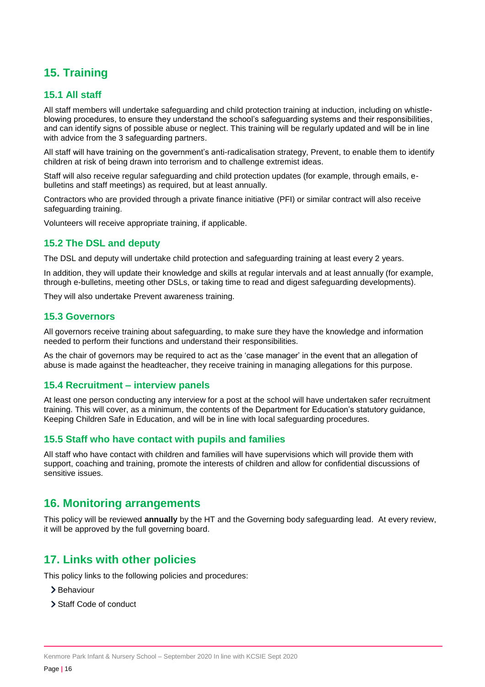# <span id="page-15-0"></span>**15. Training**

# **15.1 All staff**

All staff members will undertake safeguarding and child protection training at induction, including on whistleblowing procedures, to ensure they understand the school's safeguarding systems and their responsibilities, and can identify signs of possible abuse or neglect. This training will be regularly updated and will be in line with advice from the 3 safeguarding partners.

All staff will have training on the government's anti-radicalisation strategy, Prevent, to enable them to identify children at risk of being drawn into terrorism and to challenge extremist ideas.

Staff will also receive regular safeguarding and child protection updates (for example, through emails, ebulletins and staff meetings) as required, but at least annually.

Contractors who are provided through a private finance initiative (PFI) or similar contract will also receive safeguarding training.

Volunteers will receive appropriate training, if applicable.

# **15.2 The DSL and deputy**

The DSL and deputy will undertake child protection and safeguarding training at least every 2 years.

In addition, they will update their knowledge and skills at regular intervals and at least annually (for example, through e-bulletins, meeting other DSLs, or taking time to read and digest safeguarding developments).

They will also undertake Prevent awareness training.

# **15.3 Governors**

All governors receive training about safeguarding, to make sure they have the knowledge and information needed to perform their functions and understand their responsibilities.

As the chair of governors may be required to act as the 'case manager' in the event that an allegation of abuse is made against the headteacher, they receive training in managing allegations for this purpose.

# **15.4 Recruitment – interview panels**

At least one person conducting any interview for a post at the school will have undertaken safer recruitment training. This will cover, as a minimum, the contents of the Department for Education's statutory guidance, Keeping Children Safe in Education, and will be in line with local safeguarding procedures.

# **15.5 Staff who have contact with pupils and families**

All staff who have contact with children and families will have supervisions which will provide them with support, coaching and training, promote the interests of children and allow for confidential discussions of sensitive issues.

# <span id="page-15-1"></span>**16. Monitoring arrangements**

This policy will be reviewed **annually** by the HT and the Governing body safeguarding lead. At every review, it will be approved by the full governing board.

# <span id="page-15-2"></span>**17. Links with other policies**

This policy links to the following policies and procedures:

- > Behaviour
- > Staff Code of conduct

Page **|** 16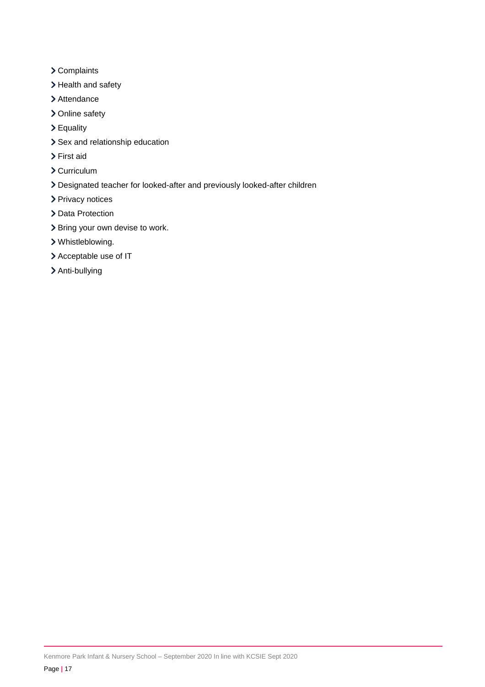- > Complaints
- > Health and safety
- > Attendance
- > Online safety
- Equality
- > Sex and relationship education
- > First aid
- > Curriculum
- Designated teacher for looked-after and previously looked-after children
- > Privacy notices
- > Data Protection
- > Bring your own devise to work.
- Whistleblowing.
- > Acceptable use of IT
- > Anti-bullying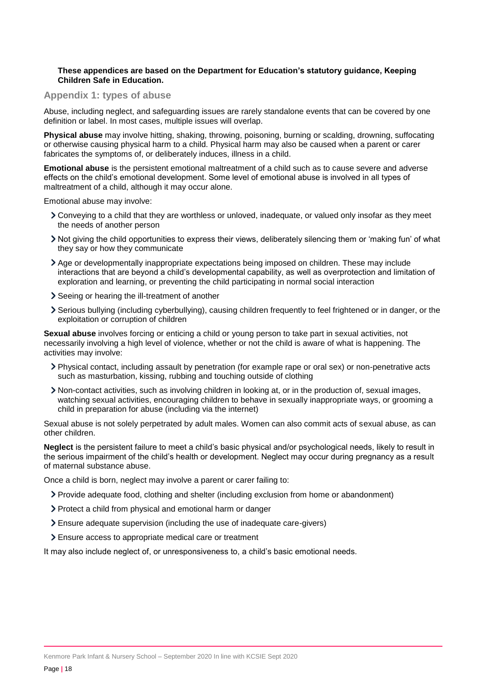#### **These appendices are based on the Department for Education's statutory guidance, Keeping Children Safe in Education.**

#### <span id="page-17-0"></span>**Appendix 1: types of abuse**

Abuse, including neglect, and safeguarding issues are rarely standalone events that can be covered by one definition or label. In most cases, multiple issues will overlap.

**Physical abuse** may involve hitting, shaking, throwing, poisoning, burning or scalding, drowning, suffocating or otherwise causing physical harm to a child. Physical harm may also be caused when a parent or carer fabricates the symptoms of, or deliberately induces, illness in a child.

**Emotional abuse** is the persistent emotional maltreatment of a child such as to cause severe and adverse effects on the child's emotional development. Some level of emotional abuse is involved in all types of maltreatment of a child, although it may occur alone.

Emotional abuse may involve:

- Conveying to a child that they are worthless or unloved, inadequate, or valued only insofar as they meet the needs of another person
- Not giving the child opportunities to express their views, deliberately silencing them or 'making fun' of what they say or how they communicate
- Age or developmentally inappropriate expectations being imposed on children. These may include interactions that are beyond a child's developmental capability, as well as overprotection and limitation of exploration and learning, or preventing the child participating in normal social interaction
- Seeing or hearing the ill-treatment of another
- Serious bullying (including cyberbullying), causing children frequently to feel frightened or in danger, or the exploitation or corruption of children

**Sexual abuse** involves forcing or enticing a child or young person to take part in sexual activities, not necessarily involving a high level of violence, whether or not the child is aware of what is happening. The activities may involve:

- Physical contact, including assault by penetration (for example rape or oral sex) or non-penetrative acts such as masturbation, kissing, rubbing and touching outside of clothing
- Non-contact activities, such as involving children in looking at, or in the production of, sexual images, watching sexual activities, encouraging children to behave in sexually inappropriate ways, or grooming a child in preparation for abuse (including via the internet)

Sexual abuse is not solely perpetrated by adult males. Women can also commit acts of sexual abuse, as can other children.

**Neglect** is the persistent failure to meet a child's basic physical and/or psychological needs, likely to result in the serious impairment of the child's health or development. Neglect may occur during pregnancy as a result of maternal substance abuse.

Once a child is born, neglect may involve a parent or carer failing to:

- Provide adequate food, clothing and shelter (including exclusion from home or abandonment)
- Protect a child from physical and emotional harm or danger
- Ensure adequate supervision (including the use of inadequate care-givers)
- Ensure access to appropriate medical care or treatment

It may also include neglect of, or unresponsiveness to, a child's basic emotional needs.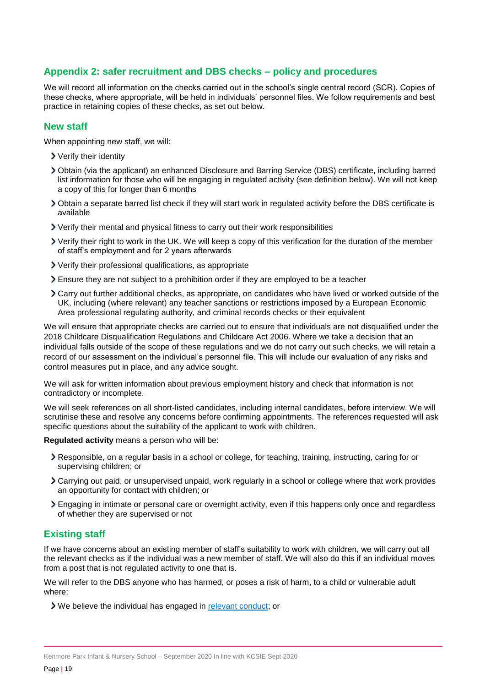# <span id="page-18-0"></span>**Appendix 2: safer recruitment and DBS checks – policy and procedures**

We will record all information on the checks carried out in the school's single central record (SCR). Copies of these checks, where appropriate, will be held in individuals' personnel files. We follow requirements and best practice in retaining copies of these checks, as set out below.

## **New staff**

When appointing new staff, we will:

- Verify their identity
- Obtain (via the applicant) an enhanced Disclosure and Barring Service (DBS) certificate, including barred list information for those who will be engaging in regulated activity (see definition below). We will not keep a copy of this for longer than 6 months
- Obtain a separate barred list check if they will start work in regulated activity before the DBS certificate is available
- Verify their mental and physical fitness to carry out their work responsibilities
- Verify their right to work in the UK. We will keep a copy of this verification for the duration of the member of staff's employment and for 2 years afterwards
- Verify their professional qualifications, as appropriate
- Ensure they are not subject to a prohibition order if they are employed to be a teacher
- Carry out further additional checks, as appropriate, on candidates who have lived or worked outside of the UK, including (where relevant) any teacher sanctions or restrictions imposed by a European Economic Area professional regulating authority, and criminal records checks or their equivalent

We will ensure that appropriate checks are carried out to ensure that individuals are not disqualified under the 2018 Childcare Disqualification Regulations and Childcare Act 2006. Where we take a decision that an individual falls outside of the scope of these regulations and we do not carry out such checks, we will retain a record of our assessment on the individual's personnel file. This will include our evaluation of any risks and control measures put in place, and any advice sought.

We will ask for written information about previous employment history and check that information is not contradictory or incomplete.

We will seek references on all short-listed candidates, including internal candidates, before interview. We will scrutinise these and resolve any concerns before confirming appointments. The references requested will ask specific questions about the suitability of the applicant to work with children.

**Regulated activity** means a person who will be:

- Responsible, on a regular basis in a school or college, for teaching, training, instructing, caring for or supervising children; or
- Carrying out paid, or unsupervised unpaid, work regularly in a school or college where that work provides an opportunity for contact with children; or
- Engaging in intimate or personal care or overnight activity, even if this happens only once and regardless of whether they are supervised or not

# **Existing staff**

If we have concerns about an existing member of staff's suitability to work with children, we will carry out all the relevant checks as if the individual was a new member of staff. We will also do this if an individual moves from a post that is not regulated activity to one that is.

We will refer to the DBS anyone who has harmed, or poses a risk of harm, to a child or vulnerable adult where:

We believe the individual has engaged in [relevant conduct;](https://www.gov.uk/guidance/making-barring-referrals-to-the-dbs#relevant-conduct-in-relation-to-children) or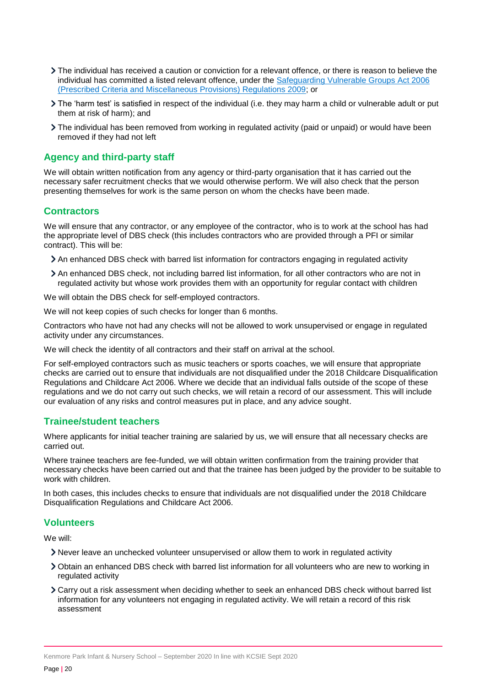- The individual has received a caution or conviction for a relevant offence, or there is reason to believe the individual has committed a listed relevant offence, under the [Safeguarding Vulnerable Groups Act 2006](http://www.legislation.gov.uk/uksi/2009/37/contents/made)  [\(Prescribed Criteria and Miscellaneous Provisions\) Regulations 2009;](http://www.legislation.gov.uk/uksi/2009/37/contents/made) or
- The 'harm test' is satisfied in respect of the individual (i.e. they may harm a child or vulnerable adult or put them at risk of harm); and
- The individual has been removed from working in regulated activity (paid or unpaid) or would have been removed if they had not left

# **Agency and third-party staff**

We will obtain written notification from any agency or third-party organisation that it has carried out the necessary safer recruitment checks that we would otherwise perform. We will also check that the person presenting themselves for work is the same person on whom the checks have been made.

# **Contractors**

We will ensure that any contractor, or any employee of the contractor, who is to work at the school has had the appropriate level of DBS check (this includes contractors who are provided through a PFI or similar contract). This will be:

- An enhanced DBS check with barred list information for contractors engaging in regulated activity
- An enhanced DBS check, not including barred list information, for all other contractors who are not in regulated activity but whose work provides them with an opportunity for regular contact with children

We will obtain the DBS check for self-employed contractors.

We will not keep copies of such checks for longer than 6 months.

Contractors who have not had any checks will not be allowed to work unsupervised or engage in regulated activity under any circumstances.

We will check the identity of all contractors and their staff on arrival at the school.

For self-employed contractors such as music teachers or sports coaches, we will ensure that appropriate checks are carried out to ensure that individuals are not disqualified under the 2018 Childcare Disqualification Regulations and Childcare Act 2006. Where we decide that an individual falls outside of the scope of these regulations and we do not carry out such checks, we will retain a record of our assessment. This will include our evaluation of any risks and control measures put in place, and any advice sought.

# **Trainee/student teachers**

Where applicants for initial teacher training are salaried by us, we will ensure that all necessary checks are carried out.

Where trainee teachers are fee-funded, we will obtain written confirmation from the training provider that necessary checks have been carried out and that the trainee has been judged by the provider to be suitable to work with children.

In both cases, this includes checks to ensure that individuals are not disqualified under the 2018 Childcare Disqualification Regulations and Childcare Act 2006.

## **Volunteers**

We will:

- Never leave an unchecked volunteer unsupervised or allow them to work in regulated activity
- Obtain an enhanced DBS check with barred list information for all volunteers who are new to working in regulated activity
- Carry out a risk assessment when deciding whether to seek an enhanced DBS check without barred list information for any volunteers not engaging in regulated activity. We will retain a record of this risk assessment

Kenmore Park Infant & Nursery School – September 2020 In line with KCSIE Sept 2020

Page **|** 20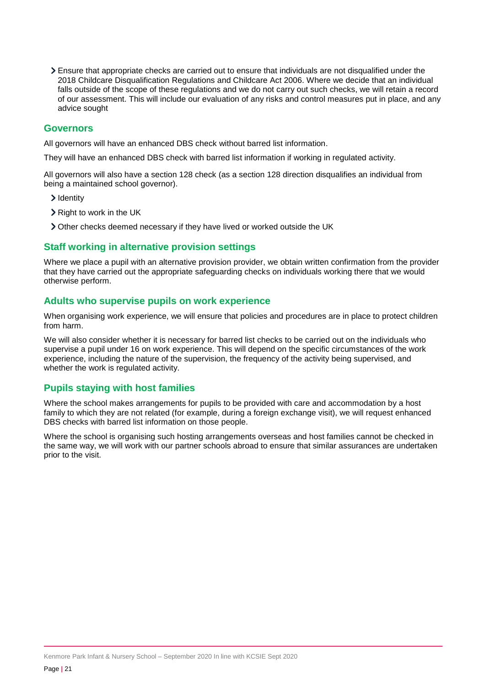Ensure that appropriate checks are carried out to ensure that individuals are not disqualified under the 2018 Childcare Disqualification Regulations and Childcare Act 2006. Where we decide that an individual falls outside of the scope of these regulations and we do not carry out such checks, we will retain a record of our assessment. This will include our evaluation of any risks and control measures put in place, and any advice sought

## **Governors**

All governors will have an enhanced DBS check without barred list information.

They will have an enhanced DBS check with barred list information if working in regulated activity.

All governors will also have a section 128 check (as a section 128 direction disqualifies an individual from being a maintained school governor).

- > Identity
- $\triangleright$  Right to work in the UK
- Other checks deemed necessary if they have lived or worked outside the UK

# **Staff working in alternative provision settings**

Where we place a pupil with an alternative provision provider, we obtain written confirmation from the provider that they have carried out the appropriate safeguarding checks on individuals working there that we would otherwise perform.

## **Adults who supervise pupils on work experience**

When organising work experience, we will ensure that policies and procedures are in place to protect children from harm.

We will also consider whether it is necessary for barred list checks to be carried out on the individuals who supervise a pupil under 16 on work experience. This will depend on the specific circumstances of the work experience, including the nature of the supervision, the frequency of the activity being supervised, and whether the work is regulated activity.

# **Pupils staying with host families**

Where the school makes arrangements for pupils to be provided with care and accommodation by a host family to which they are not related (for example, during a foreign exchange visit), we will request enhanced DBS checks with barred list information on those people.

Where the school is organising such hosting arrangements overseas and host families cannot be checked in the same way, we will work with our partner schools abroad to ensure that similar assurances are undertaken prior to the visit.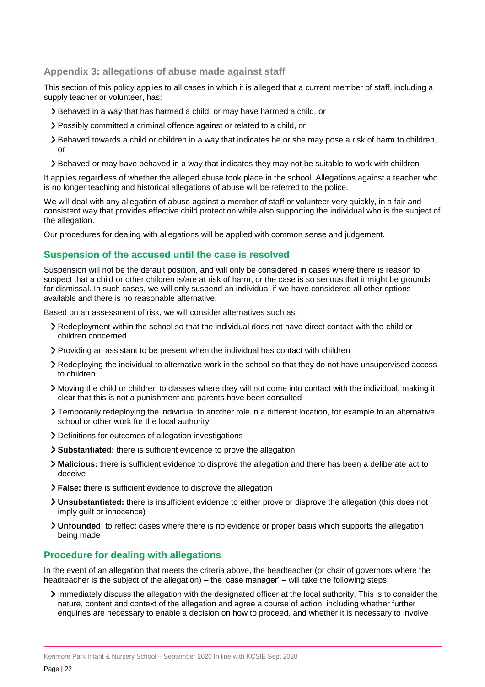# <span id="page-21-0"></span>**Appendix 3: allegations of abuse made against staff**

This section of this policy applies to all cases in which it is alleged that a current member of staff, including a supply teacher or volunteer, has:

- Behaved in a way that has harmed a child, or may have harmed a child, or
- Possibly committed a criminal offence against or related to a child, or
- Behaved towards a child or children in a way that indicates he or she may pose a risk of harm to children, or
- Behaved or may have behaved in a way that indicates they may not be suitable to work with children

It applies regardless of whether the alleged abuse took place in the school. Allegations against a teacher who is no longer teaching and historical allegations of abuse will be referred to the police.

We will deal with any allegation of abuse against a member of staff or volunteer very quickly, in a fair and consistent way that provides effective child protection while also supporting the individual who is the subject of the allegation.

Our procedures for dealing with allegations will be applied with common sense and judgement.

## **Suspension of the accused until the case is resolved**

Suspension will not be the default position, and will only be considered in cases where there is reason to suspect that a child or other children is/are at risk of harm, or the case is so serious that it might be grounds for dismissal. In such cases, we will only suspend an individual if we have considered all other options available and there is no reasonable alternative.

Based on an assessment of risk, we will consider alternatives such as:

- Redeployment within the school so that the individual does not have direct contact with the child or children concerned
- Providing an assistant to be present when the individual has contact with children
- Redeploying the individual to alternative work in the school so that they do not have unsupervised access to children
- Moving the child or children to classes where they will not come into contact with the individual, making it clear that this is not a punishment and parents have been consulted
- Temporarily redeploying the individual to another role in a different location, for example to an alternative school or other work for the local authority
- Definitions for outcomes of allegation investigations
- **Substantiated:** there is sufficient evidence to prove the allegation
- **Malicious:** there is sufficient evidence to disprove the allegation and there has been a deliberate act to deceive
- **False:** there is sufficient evidence to disprove the allegation
- **Unsubstantiated:** there is insufficient evidence to either prove or disprove the allegation (this does not imply guilt or innocence)
- **Unfounded**: to reflect cases where there is no evidence or proper basis which supports the allegation being made

# **Procedure for dealing with allegations**

In the event of an allegation that meets the criteria above, the headteacher (or chair of governors where the headteacher is the subject of the allegation) – the 'case manager' – will take the following steps:

Immediately discuss the allegation with the designated officer at the local authority. This is to consider the nature, content and context of the allegation and agree a course of action, including whether further enquiries are necessary to enable a decision on how to proceed, and whether it is necessary to involve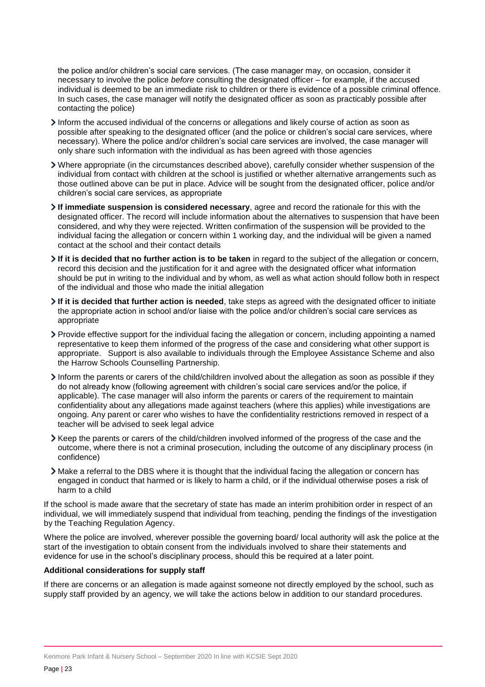the police and/or children's social care services. (The case manager may, on occasion, consider it necessary to involve the police *before* consulting the designated officer – for example, if the accused individual is deemed to be an immediate risk to children or there is evidence of a possible criminal offence. In such cases, the case manager will notify the designated officer as soon as practicably possible after contacting the police)

- Inform the accused individual of the concerns or allegations and likely course of action as soon as possible after speaking to the designated officer (and the police or children's social care services, where necessary). Where the police and/or children's social care services are involved, the case manager will only share such information with the individual as has been agreed with those agencies
- Where appropriate (in the circumstances described above), carefully consider whether suspension of the individual from contact with children at the school is justified or whether alternative arrangements such as those outlined above can be put in place. Advice will be sought from the designated officer, police and/or children's social care services, as appropriate
- **If immediate suspension is considered necessary**, agree and record the rationale for this with the designated officer. The record will include information about the alternatives to suspension that have been considered, and why they were rejected. Written confirmation of the suspension will be provided to the individual facing the allegation or concern within 1 working day, and the individual will be given a named contact at the school and their contact details
- **If it is decided that no further action is to be taken** in regard to the subject of the allegation or concern, record this decision and the justification for it and agree with the designated officer what information should be put in writing to the individual and by whom, as well as what action should follow both in respect of the individual and those who made the initial allegation
- **If it is decided that further action is needed**, take steps as agreed with the designated officer to initiate the appropriate action in school and/or liaise with the police and/or children's social care services as appropriate
- Provide effective support for the individual facing the allegation or concern, including appointing a named representative to keep them informed of the progress of the case and considering what other support is appropriate. Support is also available to individuals through the Employee Assistance Scheme and also the Harrow Schools Counselling Partnership.
- Inform the parents or carers of the child/children involved about the allegation as soon as possible if they do not already know (following agreement with children's social care services and/or the police, if applicable). The case manager will also inform the parents or carers of the requirement to maintain confidentiality about any allegations made against teachers (where this applies) while investigations are ongoing. Any parent or carer who wishes to have the confidentiality restrictions removed in respect of a teacher will be advised to seek legal advice
- Keep the parents or carers of the child/children involved informed of the progress of the case and the outcome, where there is not a criminal prosecution, including the outcome of any disciplinary process (in confidence)
- Make a referral to the DBS where it is thought that the individual facing the allegation or concern has engaged in conduct that harmed or is likely to harm a child, or if the individual otherwise poses a risk of harm to a child

If the school is made aware that the secretary of state has made an interim prohibition order in respect of an individual, we will immediately suspend that individual from teaching, pending the findings of the investigation by the Teaching Regulation Agency.

Where the police are involved, wherever possible the governing board/ local authority will ask the police at the start of the investigation to obtain consent from the individuals involved to share their statements and evidence for use in the school's disciplinary process, should this be required at a later point.

## **Additional considerations for supply staff**

If there are concerns or an allegation is made against someone not directly employed by the school, such as supply staff provided by an agency, we will take the actions below in addition to our standard procedures.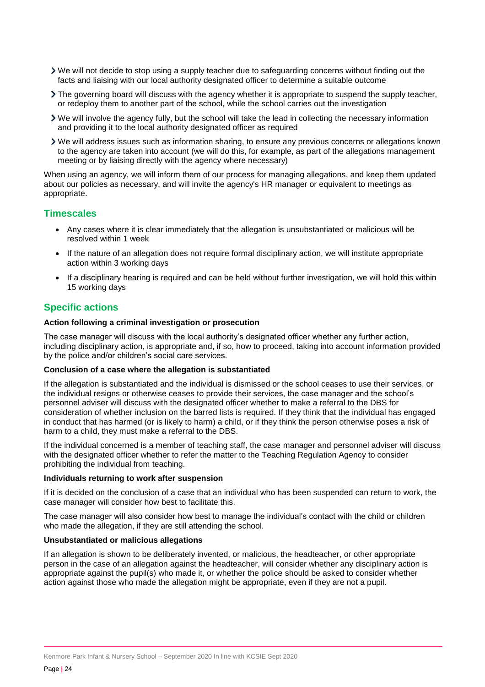- We will not decide to stop using a supply teacher due to safeguarding concerns without finding out the facts and liaising with our local authority designated officer to determine a suitable outcome
- If the governing board will discuss with the agency whether it is appropriate to suspend the supply teacher, or redeploy them to another part of the school, while the school carries out the investigation
- We will involve the agency fully, but the school will take the lead in collecting the necessary information and providing it to the local authority designated officer as required
- We will address issues such as information sharing, to ensure any previous concerns or allegations known to the agency are taken into account (we will do this, for example, as part of the allegations management meeting or by liaising directly with the agency where necessary)

When using an agency, we will inform them of our process for managing allegations, and keep them updated about our policies as necessary, and will invite the agency's HR manager or equivalent to meetings as appropriate.

# **Timescales**

- Any cases where it is clear immediately that the allegation is unsubstantiated or malicious will be resolved within 1 week
- If the nature of an allegation does not require formal disciplinary action, we will institute appropriate action within 3 working days
- If a disciplinary hearing is required and can be held without further investigation, we will hold this within 15 working days

# **Specific actions**

## **Action following a criminal investigation or prosecution**

The case manager will discuss with the local authority's designated officer whether any further action, including disciplinary action, is appropriate and, if so, how to proceed, taking into account information provided by the police and/or children's social care services.

#### **Conclusion of a case where the allegation is substantiated**

If the allegation is substantiated and the individual is dismissed or the school ceases to use their services, or the individual resigns or otherwise ceases to provide their services, the case manager and the school's personnel adviser will discuss with the designated officer whether to make a referral to the DBS for consideration of whether inclusion on the barred lists is required. If they think that the individual has engaged in conduct that has harmed (or is likely to harm) a child, or if they think the person otherwise poses a risk of harm to a child, they must make a referral to the DBS.

If the individual concerned is a member of teaching staff, the case manager and personnel adviser will discuss with the designated officer whether to refer the matter to the Teaching Regulation Agency to consider prohibiting the individual from teaching.

#### **Individuals returning to work after suspension**

If it is decided on the conclusion of a case that an individual who has been suspended can return to work, the case manager will consider how best to facilitate this.

The case manager will also consider how best to manage the individual's contact with the child or children who made the allegation, if they are still attending the school.

## **Unsubstantiated or malicious allegations**

If an allegation is shown to be deliberately invented, or malicious, the headteacher, or other appropriate person in the case of an allegation against the headteacher, will consider whether any disciplinary action is appropriate against the pupil(s) who made it, or whether the police should be asked to consider whether action against those who made the allegation might be appropriate, even if they are not a pupil.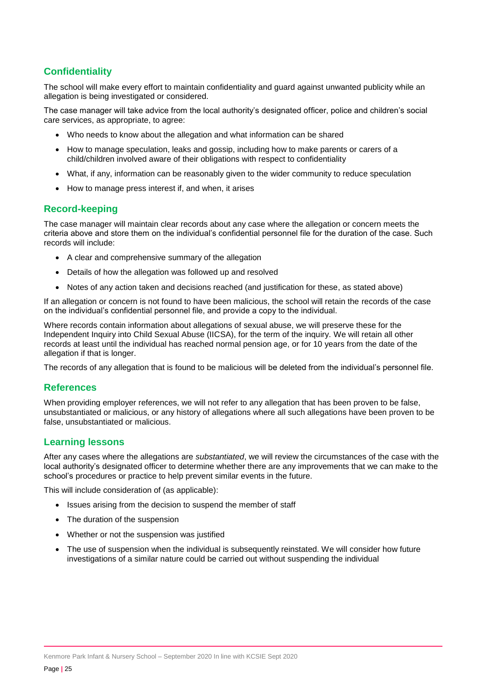# **Confidentiality**

The school will make every effort to maintain confidentiality and guard against unwanted publicity while an allegation is being investigated or considered.

The case manager will take advice from the local authority's designated officer, police and children's social care services, as appropriate, to agree:

- Who needs to know about the allegation and what information can be shared
- How to manage speculation, leaks and gossip, including how to make parents or carers of a child/children involved aware of their obligations with respect to confidentiality
- What, if any, information can be reasonably given to the wider community to reduce speculation
- How to manage press interest if, and when, it arises

# **Record-keeping**

The case manager will maintain clear records about any case where the allegation or concern meets the criteria above and store them on the individual's confidential personnel file for the duration of the case. Such records will include:

- A clear and comprehensive summary of the allegation
- Details of how the allegation was followed up and resolved
- Notes of any action taken and decisions reached (and justification for these, as stated above)

If an allegation or concern is not found to have been malicious, the school will retain the records of the case on the individual's confidential personnel file, and provide a copy to the individual.

Where records contain information about allegations of sexual abuse, we will preserve these for the Independent Inquiry into Child Sexual Abuse (IICSA), for the term of the inquiry. We will retain all other records at least until the individual has reached normal pension age, or for 10 years from the date of the allegation if that is longer.

The records of any allegation that is found to be malicious will be deleted from the individual's personnel file.

# **References**

When providing employer references, we will not refer to any allegation that has been proven to be false, unsubstantiated or malicious, or any history of allegations where all such allegations have been proven to be false, unsubstantiated or malicious.

# **Learning lessons**

After any cases where the allegations are *substantiated*, we will review the circumstances of the case with the local authority's designated officer to determine whether there are any improvements that we can make to the school's procedures or practice to help prevent similar events in the future.

This will include consideration of (as applicable):

- Issues arising from the decision to suspend the member of staff
- The duration of the suspension
- Whether or not the suspension was justified
- The use of suspension when the individual is subsequently reinstated. We will consider how future investigations of a similar nature could be carried out without suspending the individual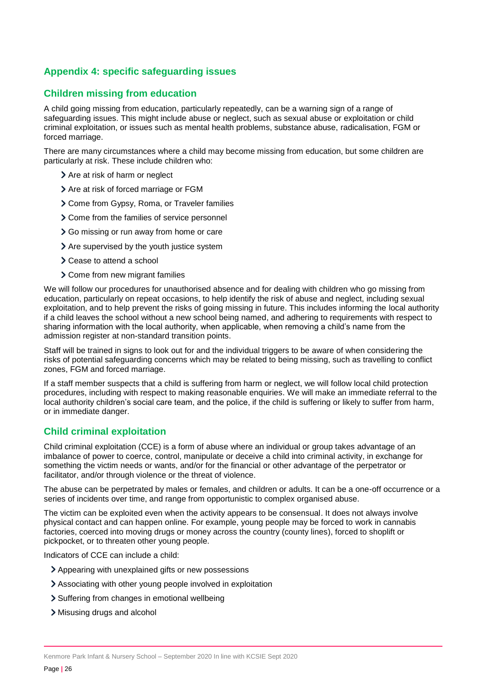# <span id="page-25-0"></span>**Appendix 4: specific safeguarding issues**

# **Children missing from education**

A child going missing from education, particularly repeatedly, can be a warning sign of a range of safeguarding issues. This might include abuse or neglect, such as sexual abuse or exploitation or child criminal exploitation, or issues such as mental health problems, substance abuse, radicalisation, FGM or forced marriage.

There are many circumstances where a child may become missing from education, but some children are particularly at risk. These include children who:

- > Are at risk of harm or neglect
- $\geq$  Are at risk of forced marriage or FGM
- Come from Gypsy, Roma, or Traveler families
- Come from the families of service personnel
- Go missing or run away from home or care
- > Are supervised by the youth justice system
- Cease to attend a school
- Come from new migrant families

We will follow our procedures for unauthorised absence and for dealing with children who go missing from education, particularly on repeat occasions, to help identify the risk of abuse and neglect, including sexual exploitation, and to help prevent the risks of going missing in future. This includes informing the local authority if a child leaves the school without a new school being named, and adhering to requirements with respect to sharing information with the local authority, when applicable, when removing a child's name from the admission register at non-standard transition points.

Staff will be trained in signs to look out for and the individual triggers to be aware of when considering the risks of potential safeguarding concerns which may be related to being missing, such as travelling to conflict zones, FGM and forced marriage.

If a staff member suspects that a child is suffering from harm or neglect, we will follow local child protection procedures, including with respect to making reasonable enquiries. We will make an immediate referral to the local authority children's social care team, and the police, if the child is suffering or likely to suffer from harm, or in immediate danger.

# **Child criminal exploitation**

Child criminal exploitation (CCE) is a form of abuse where an individual or group takes advantage of an imbalance of power to coerce, control, manipulate or deceive a child into criminal activity, in exchange for something the victim needs or wants, and/or for the financial or other advantage of the perpetrator or facilitator, and/or through violence or the threat of violence.

The abuse can be perpetrated by males or females, and children or adults. It can be a one-off occurrence or a series of incidents over time, and range from opportunistic to complex organised abuse.

The victim can be exploited even when the activity appears to be consensual. It does not always involve physical contact and can happen online. For example, young people may be forced to work in cannabis factories, coerced into moving drugs or money across the country (county lines), forced to shoplift or pickpocket, or to threaten other young people.

Indicators of CCE can include a child:

- Appearing with unexplained gifts or new possessions
- Associating with other young people involved in exploitation
- > Suffering from changes in emotional wellbeing
- Misusing drugs and alcohol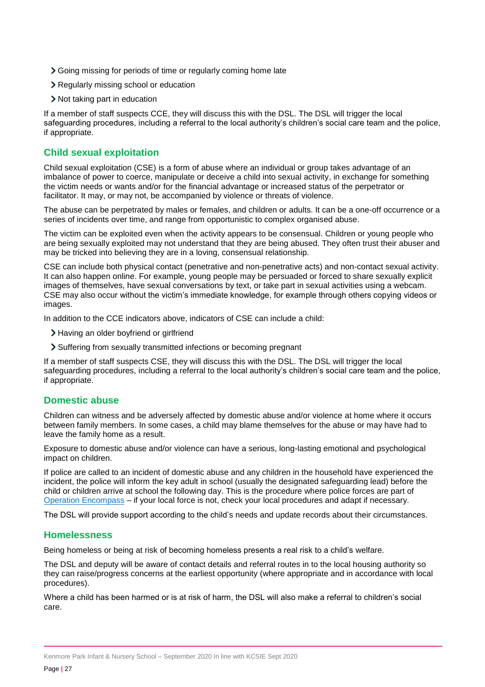- Going missing for periods of time or regularly coming home late
- Regularly missing school or education
- Not taking part in education

If a member of staff suspects CCE, they will discuss this with the DSL. The DSL will trigger the local safeguarding procedures, including a referral to the local authority's children's social care team and the police, if appropriate.

# **Child sexual exploitation**

Child sexual exploitation (CSE) is a form of abuse where an individual or group takes advantage of an imbalance of power to coerce, manipulate or deceive a child into sexual activity, in exchange for something the victim needs or wants and/or for the financial advantage or increased status of the perpetrator or facilitator. It may, or may not, be accompanied by violence or threats of violence.

The abuse can be perpetrated by males or females, and children or adults. It can be a one-off occurrence or a series of incidents over time, and range from opportunistic to complex organised abuse.

The victim can be exploited even when the activity appears to be consensual. Children or young people who are being sexually exploited may not understand that they are being abused. They often trust their abuser and may be tricked into believing they are in a loving, consensual relationship.

CSE can include both physical contact (penetrative and non-penetrative acts) and non-contact sexual activity. It can also happen online. For example, young people may be persuaded or forced to share sexually explicit images of themselves, have sexual conversations by text, or take part in sexual activities using a webcam. CSE may also occur without the victim's immediate knowledge, for example through others copying videos or images.

In addition to the CCE indicators above, indicators of CSE can include a child:

- > Having an older boyfriend or girlfriend
- Suffering from sexually transmitted infections or becoming pregnant

If a member of staff suspects CSE, they will discuss this with the DSL. The DSL will trigger the local safeguarding procedures, including a referral to the local authority's children's social care team and the police, if appropriate.

# **Domestic abuse**

Children can witness and be adversely affected by domestic abuse and/or violence at home where it occurs between family members. In some cases, a child may blame themselves for the abuse or may have had to leave the family home as a result.

Exposure to domestic abuse and/or violence can have a serious, long-lasting emotional and psychological impact on children.

If police are called to an incident of domestic abuse and any children in the household have experienced the incident, the police will inform the key adult in school (usually the designated safeguarding lead) before the child or children arrive at school the following day. This is the procedure where police forces are part of [Operation Encompass](https://www.operationencompass.org/) – if your local force is not, check your local procedures and adapt if necessary.

The DSL will provide support according to the child's needs and update records about their circumstances.

# **Homelessness**

Being homeless or being at risk of becoming homeless presents a real risk to a child's welfare.

The DSL and deputy will be aware of contact details and referral routes in to the local housing authority so they can raise/progress concerns at the earliest opportunity (where appropriate and in accordance with local procedures).

Where a child has been harmed or is at risk of harm, the DSL will also make a referral to children's social care.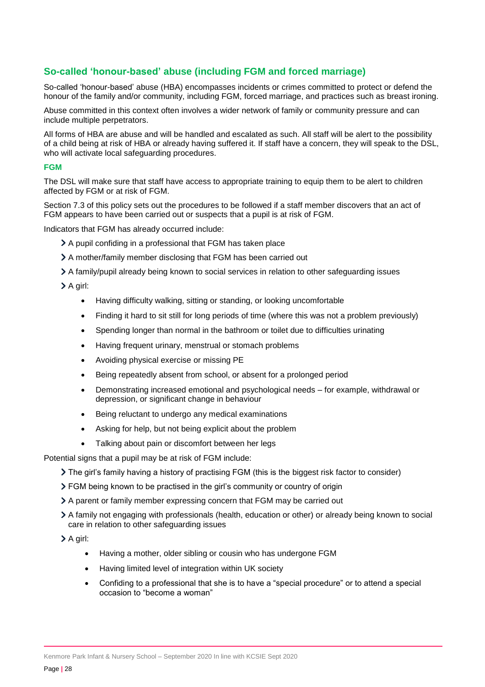# **So-called 'honour-based' abuse (including FGM and forced marriage)**

So-called 'honour-based' abuse (HBA) encompasses incidents or crimes committed to protect or defend the honour of the family and/or community, including FGM, forced marriage, and practices such as breast ironing.

Abuse committed in this context often involves a wider network of family or community pressure and can include multiple perpetrators.

All forms of HBA are abuse and will be handled and escalated as such. All staff will be alert to the possibility of a child being at risk of HBA or already having suffered it. If staff have a concern, they will speak to the DSL, who will activate local safeguarding procedures.

## **FGM**

The DSL will make sure that staff have access to appropriate training to equip them to be alert to children affected by FGM or at risk of FGM.

Section 7.3 of this policy sets out the procedures to be followed if a staff member discovers that an act of FGM appears to have been carried out or suspects that a pupil is at risk of FGM.

Indicators that FGM has already occurred include:

- A pupil confiding in a professional that FGM has taken place
- A mother/family member disclosing that FGM has been carried out
- A family/pupil already being known to social services in relation to other safeguarding issues

A girl:

- Having difficulty walking, sitting or standing, or looking uncomfortable
- Finding it hard to sit still for long periods of time (where this was not a problem previously)
- Spending longer than normal in the bathroom or toilet due to difficulties urinating
- Having frequent urinary, menstrual or stomach problems
- Avoiding physical exercise or missing PE
- Being repeatedly absent from school, or absent for a prolonged period
- Demonstrating increased emotional and psychological needs for example, withdrawal or depression, or significant change in behaviour
- Being reluctant to undergo any medical examinations
- Asking for help, but not being explicit about the problem
- Talking about pain or discomfort between her legs

Potential signs that a pupil may be at risk of FGM include:

- The girl's family having a history of practising FGM (this is the biggest risk factor to consider)
- FGM being known to be practised in the girl's community or country of origin
- A parent or family member expressing concern that FGM may be carried out
- A family not engaging with professionals (health, education or other) or already being known to social care in relation to other safeguarding issues

A girl:

- Having a mother, older sibling or cousin who has undergone FGM
- Having limited level of integration within UK society
- Confiding to a professional that she is to have a "special procedure" or to attend a special occasion to "become a woman"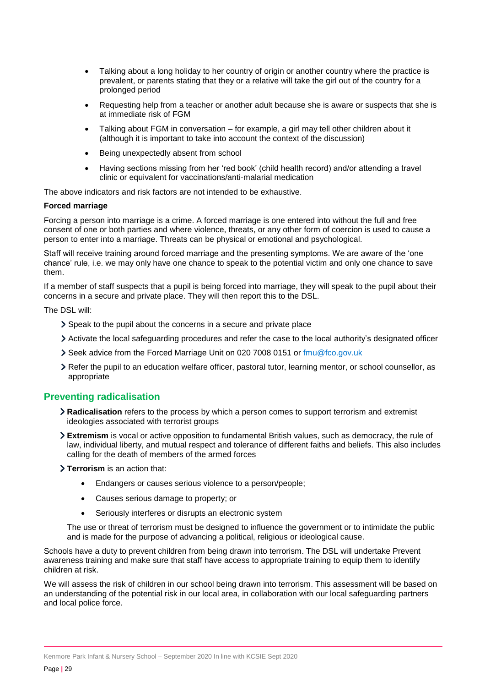- Talking about a long holiday to her country of origin or another country where the practice is prevalent, or parents stating that they or a relative will take the girl out of the country for a prolonged period
- Requesting help from a teacher or another adult because she is aware or suspects that she is at immediate risk of FGM
- Talking about FGM in conversation for example, a girl may tell other children about it (although it is important to take into account the context of the discussion)
- Being unexpectedly absent from school
- Having sections missing from her 'red book' (child health record) and/or attending a travel clinic or equivalent for vaccinations/anti-malarial medication

The above indicators and risk factors are not intended to be exhaustive.

#### **Forced marriage**

Forcing a person into marriage is a crime. A forced marriage is one entered into without the full and free consent of one or both parties and where violence, threats, or any other form of coercion is used to cause a person to enter into a marriage. Threats can be physical or emotional and psychological.

Staff will receive training around forced marriage and the presenting symptoms. We are aware of the 'one chance' rule, i.e. we may only have one chance to speak to the potential victim and only one chance to save them.

If a member of staff suspects that a pupil is being forced into marriage, they will speak to the pupil about their concerns in a secure and private place. They will then report this to the DSL.

The DSL will:

- Speak to the pupil about the concerns in a secure and private place
- Activate the local safeguarding procedures and refer the case to the local authority's designated officer
- Seek advice from the Forced Marriage Unit on 020 7008 0151 or [fmu@fco.gov.uk](mailto:fmu@fco.gov.uk)
- Refer the pupil to an education welfare officer, pastoral tutor, learning mentor, or school counsellor, as appropriate

# **Preventing radicalisation**

- **Radicalisation** refers to the process by which a person comes to support terrorism and extremist ideologies associated with terrorist groups
- **Extremism** is vocal or active opposition to fundamental British values, such as democracy, the rule of law, individual liberty, and mutual respect and tolerance of different faiths and beliefs. This also includes calling for the death of members of the armed forces

**Terrorism** is an action that:

- Endangers or causes serious violence to a person/people;
- Causes serious damage to property; or
- Seriously interferes or disrupts an electronic system

The use or threat of terrorism must be designed to influence the government or to intimidate the public and is made for the purpose of advancing a political, religious or ideological cause.

Schools have a duty to prevent children from being drawn into terrorism. The DSL will undertake Prevent awareness training and make sure that staff have access to appropriate training to equip them to identify children at risk.

We will assess the risk of children in our school being drawn into terrorism. This assessment will be based on an understanding of the potential risk in our local area, in collaboration with our local safeguarding partners and local police force.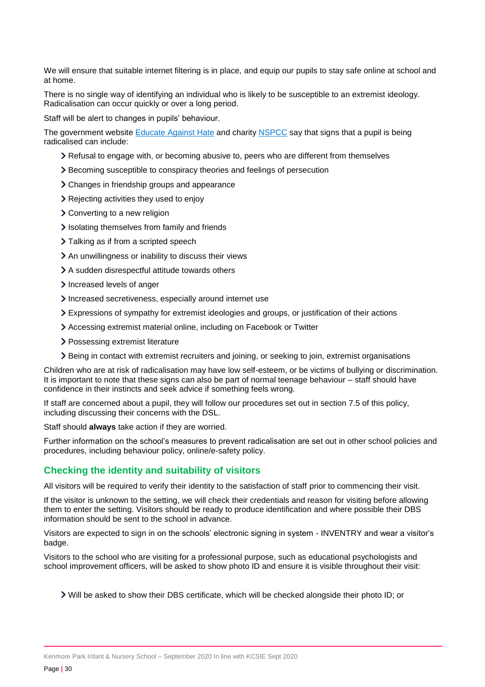We will ensure that suitable internet filtering is in place, and equip our pupils to stay safe online at school and at home.

There is no single way of identifying an individual who is likely to be susceptible to an extremist ideology. Radicalisation can occur quickly or over a long period.

Staff will be alert to changes in pupils' behaviour.

The government website [Educate Against](http://educateagainsthate.com/parents/what-are-the-warning-signs/) Hate and charity [NSPCC](https://www.nspcc.org.uk/what-you-can-do/report-abuse/dedicated-helplines/protecting-children-from-radicalisation/) say that signs that a pupil is being radicalised can include:

- Refusal to engage with, or becoming abusive to, peers who are different from themselves
- Becoming susceptible to conspiracy theories and feelings of persecution
- Changes in friendship groups and appearance
- Rejecting activities they used to enjoy
- Converting to a new religion
- Isolating themselves from family and friends
- > Talking as if from a scripted speech
- An unwillingness or inability to discuss their views
- A sudden disrespectful attitude towards others
- Increased levels of anger
- Increased secretiveness, especially around internet use
- Expressions of sympathy for extremist ideologies and groups, or justification of their actions
- Accessing extremist material online, including on Facebook or Twitter
- > Possessing extremist literature
- Being in contact with extremist recruiters and joining, or seeking to join, extremist organisations

Children who are at risk of radicalisation may have low self-esteem, or be victims of bullying or discrimination. It is important to note that these signs can also be part of normal teenage behaviour – staff should have confidence in their instincts and seek advice if something feels wrong.

If staff are concerned about a pupil, they will follow our procedures set out in section 7.5 of this policy, including discussing their concerns with the DSL.

Staff should **always** take action if they are worried.

Further information on the school's measures to prevent radicalisation are set out in other school policies and procedures, including behaviour policy, online/e-safety policy.

# **Checking the identity and suitability of visitors**

All visitors will be required to verify their identity to the satisfaction of staff prior to commencing their visit.

If the visitor is unknown to the setting, we will check their credentials and reason for visiting before allowing them to enter the setting. Visitors should be ready to produce identification and where possible their DBS information should be sent to the school in advance.

Visitors are expected to sign in on the schools' electronic signing in system - INVENTRY and wear a visitor's badge.

Visitors to the school who are visiting for a professional purpose, such as educational psychologists and school improvement officers, will be asked to show photo ID and ensure it is visible throughout their visit:

Will be asked to show their DBS certificate, which will be checked alongside their photo ID; or